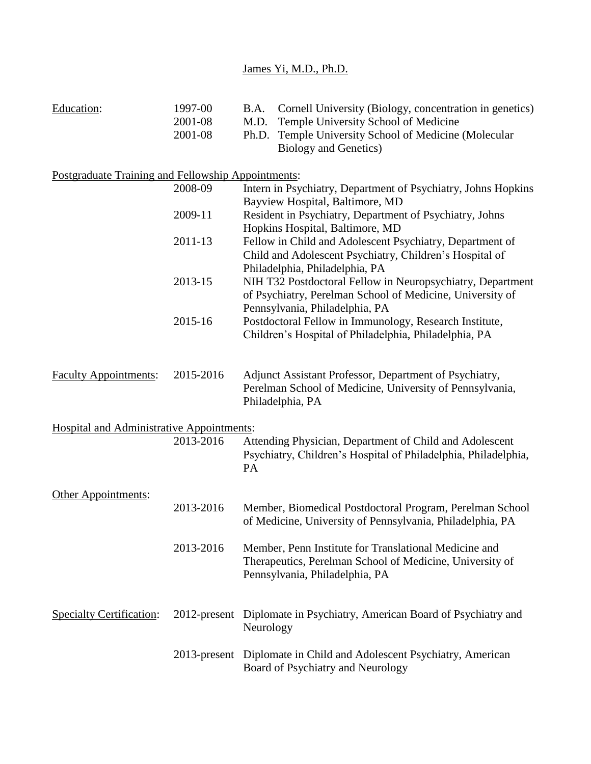# James Yi, M.D., Ph.D.

| Education:                                         | 1997-00         | B.A.                                                          | Cornell University (Biology, concentration in genetics)                                                                   |  |
|----------------------------------------------------|-----------------|---------------------------------------------------------------|---------------------------------------------------------------------------------------------------------------------------|--|
|                                                    | 2001-08         | M.D.                                                          | Temple University School of Medicine                                                                                      |  |
|                                                    | 2001-08         | Ph.D.                                                         | Temple University School of Medicine (Molecular                                                                           |  |
|                                                    |                 |                                                               | <b>Biology and Genetics)</b>                                                                                              |  |
| Postgraduate Training and Fellowship Appointments: |                 |                                                               |                                                                                                                           |  |
|                                                    | 2008-09         | Intern in Psychiatry, Department of Psychiatry, Johns Hopkins |                                                                                                                           |  |
|                                                    |                 |                                                               | Bayview Hospital, Baltimore, MD                                                                                           |  |
|                                                    | 2009-11         |                                                               | Resident in Psychiatry, Department of Psychiatry, Johns<br>Hopkins Hospital, Baltimore, MD                                |  |
|                                                    | 2011-13         |                                                               | Fellow in Child and Adolescent Psychiatry, Department of                                                                  |  |
|                                                    |                 |                                                               | Child and Adolescent Psychiatry, Children's Hospital of<br>Philadelphia, Philadelphia, PA                                 |  |
|                                                    | 2013-15         |                                                               | NIH T32 Postdoctoral Fellow in Neuropsychiatry, Department                                                                |  |
|                                                    |                 |                                                               | of Psychiatry, Perelman School of Medicine, University of                                                                 |  |
|                                                    |                 |                                                               | Pennsylvania, Philadelphia, PA                                                                                            |  |
|                                                    | 2015-16         |                                                               | Postdoctoral Fellow in Immunology, Research Institute,                                                                    |  |
|                                                    |                 |                                                               | Children's Hospital of Philadelphia, Philadelphia, PA                                                                     |  |
|                                                    |                 |                                                               |                                                                                                                           |  |
| <b>Faculty Appointments:</b>                       | 2015-2016       |                                                               | Adjunct Assistant Professor, Department of Psychiatry,<br>Perelman School of Medicine, University of Pennsylvania,        |  |
|                                                    |                 |                                                               | Philadelphia, PA                                                                                                          |  |
|                                                    |                 |                                                               |                                                                                                                           |  |
| <b>Hospital and Administrative Appointments:</b>   |                 |                                                               |                                                                                                                           |  |
|                                                    | 2013-2016       |                                                               | Attending Physician, Department of Child and Adolescent<br>Psychiatry, Children's Hospital of Philadelphia, Philadelphia, |  |
|                                                    |                 | PA                                                            |                                                                                                                           |  |
|                                                    |                 |                                                               |                                                                                                                           |  |
| Other Appointments:                                |                 |                                                               |                                                                                                                           |  |
|                                                    | 2013-2016       |                                                               | Member, Biomedical Postdoctoral Program, Perelman School                                                                  |  |
|                                                    |                 |                                                               | of Medicine, University of Pennsylvania, Philadelphia, PA                                                                 |  |
|                                                    | 2013-2016       |                                                               | Member, Penn Institute for Translational Medicine and                                                                     |  |
|                                                    |                 |                                                               | Therapeutics, Perelman School of Medicine, University of                                                                  |  |
|                                                    |                 |                                                               | Pennsylvania, Philadelphia, PA                                                                                            |  |
|                                                    |                 |                                                               |                                                                                                                           |  |
| <b>Specialty Certification:</b>                    | $2012$ -present |                                                               | Diplomate in Psychiatry, American Board of Psychiatry and                                                                 |  |
|                                                    |                 | Neurology                                                     |                                                                                                                           |  |
|                                                    |                 |                                                               | 2013-present Diplomate in Child and Adolescent Psychiatry, American                                                       |  |
|                                                    |                 |                                                               | Board of Psychiatry and Neurology                                                                                         |  |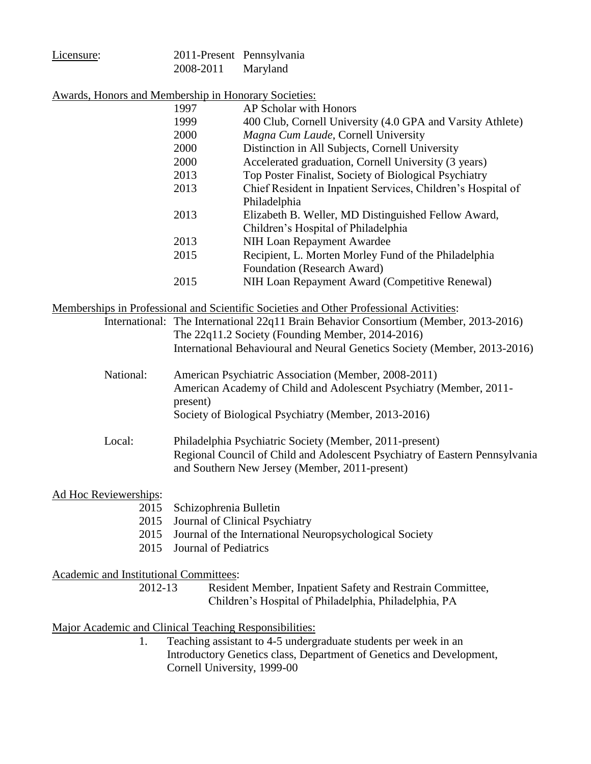| Licensure: | 2011-Present Pennsylvania |          |
|------------|---------------------------|----------|
|            | 2008-2011                 | Maryland |

Awards, Honors and Membership in Honorary Societies:

| AP Scholar with Honors                                       |
|--------------------------------------------------------------|
| 400 Club, Cornell University (4.0 GPA and Varsity Athlete)   |
| Magna Cum Laude, Cornell University                          |
| Distinction in All Subjects, Cornell University              |
| Accelerated graduation, Cornell University (3 years)         |
| Top Poster Finalist, Society of Biological Psychiatry        |
| Chief Resident in Inpatient Services, Children's Hospital of |
| Philadelphia                                                 |
| Elizabeth B. Weller, MD Distinguished Fellow Award,          |
| Children's Hospital of Philadelphia                          |
| NIH Loan Repayment Awardee                                   |
| Recipient, L. Morten Morley Fund of the Philadelphia         |
| Foundation (Research Award)                                  |
| NIH Loan Repayment Award (Competitive Renewal)               |
|                                                              |

Memberships in Professional and Scientific Societies and Other Professional Activities:

International: The International 22q11 Brain Behavior Consortium (Member, 2013-2016) The 22q11.2 Society (Founding Member, 2014-2016) International Behavioural and Neural Genetics Society (Member, 2013-2016)

- National: American Psychiatric Association (Member, 2008-2011) American Academy of Child and Adolescent Psychiatry (Member, 2011 present) Society of Biological Psychiatry (Member, 2013-2016)
- Local: Philadelphia Psychiatric Society (Member, 2011-present) Regional Council of Child and Adolescent Psychiatry of Eastern Pennsylvania and Southern New Jersey (Member, 2011-present)

# Ad Hoc Reviewerships:

- 2015 Schizophrenia Bulletin
- 2015 Journal of Clinical Psychiatry
- 2015 Journal of the International Neuropsychological Society
- 2015 Journal of Pediatrics

Academic and Institutional Committees:

2012-13 Resident Member, Inpatient Safety and Restrain Committee, Children's Hospital of Philadelphia, Philadelphia, PA

Major Academic and Clinical Teaching Responsibilities:

1. Teaching assistant to 4-5 undergraduate students per week in an Introductory Genetics class, Department of Genetics and Development, Cornell University, 1999-00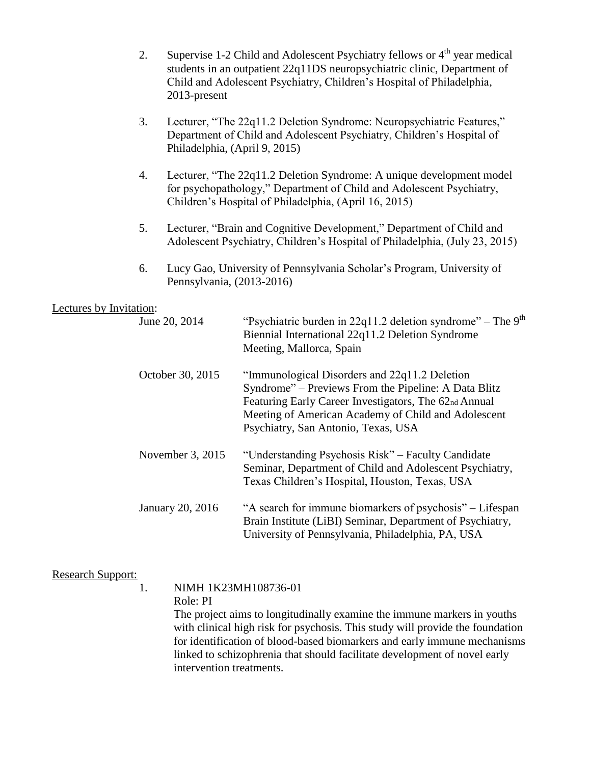- 2. Supervise 1-2 Child and Adolescent Psychiatry fellows or  $4<sup>th</sup>$  year medical students in an outpatient 22q11DS neuropsychiatric clinic, Department of Child and Adolescent Psychiatry, Children's Hospital of Philadelphia, 2013-present
- 3. Lecturer, "The 22q11.2 Deletion Syndrome: Neuropsychiatric Features," Department of Child and Adolescent Psychiatry, Children's Hospital of Philadelphia, (April 9, 2015)
- 4. Lecturer, "The 22q11.2 Deletion Syndrome: A unique development model for psychopathology," Department of Child and Adolescent Psychiatry, Children's Hospital of Philadelphia, (April 16, 2015)
- 5. Lecturer, "Brain and Cognitive Development," Department of Child and Adolescent Psychiatry, Children's Hospital of Philadelphia, (July 23, 2015)
- 6. Lucy Gao, University of Pennsylvania Scholar's Program, University of Pennsylvania, (2013-2016)

## Lectures by Invitation:

| June 20, 2014      | "Psychiatric burden in 22q11.2 deletion syndrome" – The $9th$<br>Biennial International 22q11.2 Deletion Syndrome<br>Meeting, Mallorca, Spain                                                                                                                |
|--------------------|--------------------------------------------------------------------------------------------------------------------------------------------------------------------------------------------------------------------------------------------------------------|
| October 30, 2015   | "Immunological Disorders and 22q11.2 Deletion<br>Syndrome" – Previews From the Pipeline: A Data Blitz<br>Featuring Early Career Investigators, The 62nd Annual<br>Meeting of American Academy of Child and Adolescent<br>Psychiatry, San Antonio, Texas, USA |
| November $3, 2015$ | "Understanding Psychosis Risk" – Faculty Candidate<br>Seminar, Department of Child and Adolescent Psychiatry,<br>Texas Children's Hospital, Houston, Texas, USA                                                                                              |
| January 20, 2016   | "A search for immune biomarkers of psychosis" – Lifespan<br>Brain Institute (LiBI) Seminar, Department of Psychiatry,<br>University of Pennsylvania, Philadelphia, PA, USA                                                                                   |

#### Research Support:

1. NIMH 1K23MH108736-01

Role: PI

The project aims to longitudinally examine the immune markers in youths with clinical high risk for psychosis. This study will provide the foundation for identification of blood-based biomarkers and early immune mechanisms linked to schizophrenia that should facilitate development of novel early intervention treatments.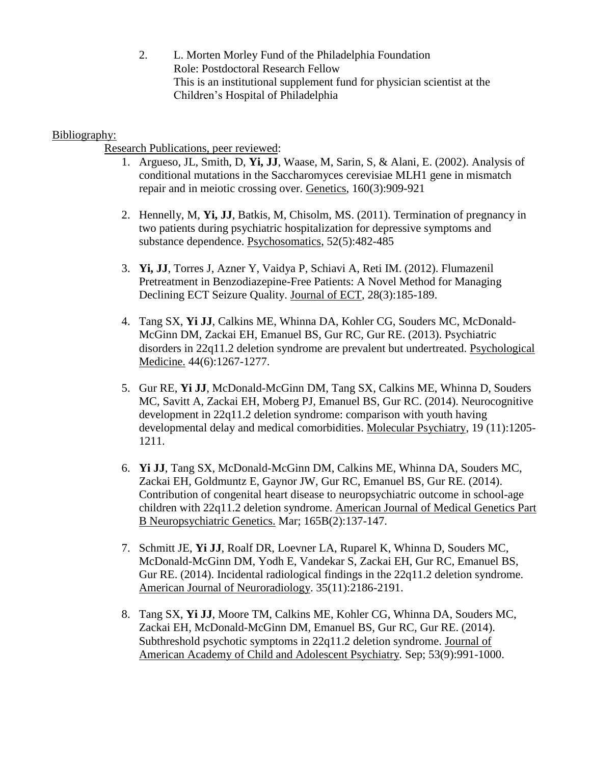2. L. Morten Morley Fund of the Philadelphia Foundation Role: Postdoctoral Research Fellow This is an institutional supplement fund for physician scientist at the Children's Hospital of Philadelphia

# Bibliography:

Research Publications, peer reviewed:

- 1. Argueso, JL, Smith, D, **Yi, JJ**, Waase, M, Sarin, S, & Alani, E. (2002). Analysis of conditional mutations in the Saccharomyces cerevisiae MLH1 gene in mismatch repair and in meiotic crossing over. Genetics, 160(3):909-921
- 2. Hennelly, M, **Yi, JJ**, Batkis, M, Chisolm, MS. (2011). Termination of pregnancy in two patients during psychiatric hospitalization for depressive symptoms and substance dependence. Psychosomatics, 52(5):482-485
- 3. **Yi, JJ**, Torres J, Azner Y, Vaidya P, Schiavi A, Reti IM. (2012). Flumazenil Pretreatment in Benzodiazepine-Free Patients: A Novel Method for Managing Declining ECT Seizure Quality. Journal of ECT, 28(3):185-189.
- 4. Tang SX, **Yi JJ**, Calkins ME, Whinna DA, Kohler CG, Souders MC, McDonald-McGinn DM, Zackai EH, Emanuel BS, Gur RC, Gur RE. (2013). Psychiatric disorders in 22q11.2 deletion syndrome are prevalent but undertreated. Psychological Medicine. 44(6):1267-1277.
- 5. Gur RE, **Yi JJ**, McDonald-McGinn DM, Tang SX, Calkins ME, Whinna D, Souders MC, Savitt A, Zackai EH, Moberg PJ, Emanuel BS, Gur RC. (2014). Neurocognitive development in 22q11.2 deletion syndrome: comparison with youth having developmental delay and medical comorbidities. Molecular Psychiatry, 19 (11):1205- 1211.
- 6. **Yi JJ**, Tang SX, McDonald-McGinn DM, Calkins ME, Whinna DA, Souders MC, Zackai EH, Goldmuntz E, Gaynor JW, Gur RC, Emanuel BS, Gur RE. (2014). Contribution of congenital heart disease to neuropsychiatric outcome in school-age children with 22q11.2 deletion syndrome. American Journal of Medical Genetics Part B Neuropsychiatric Genetics. Mar; 165B(2):137-147.
- 7. Schmitt JE, **Yi JJ**, Roalf DR, Loevner LA, Ruparel K, Whinna D, Souders MC, McDonald-McGinn DM, Yodh E, Vandekar S, Zackai EH, Gur RC, Emanuel BS, Gur RE. (2014). Incidental radiological findings in the 22q11.2 deletion syndrome. American Journal of Neuroradiology. 35(11):2186-2191.
- 8. Tang SX, **Yi JJ**, Moore TM, Calkins ME, Kohler CG, Whinna DA, Souders MC, Zackai EH, McDonald-McGinn DM, Emanuel BS, Gur RC, Gur RE. (2014). Subthreshold psychotic symptoms in 22q11.2 deletion syndrome. Journal of American Academy of Child and Adolescent Psychiatry*.* Sep; 53(9):991-1000.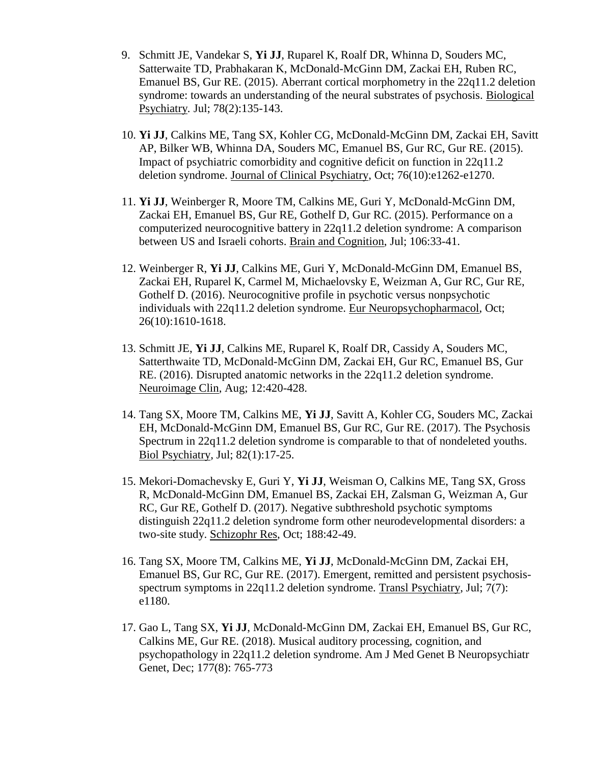- 9. Schmitt JE, Vandekar S, **Yi JJ**, Ruparel K, Roalf DR, Whinna D, Souders MC, Satterwaite TD, Prabhakaran K, McDonald-McGinn DM, Zackai EH, Ruben RC, Emanuel BS, Gur RE. (2015). Aberrant cortical morphometry in the 22q11.2 deletion syndrome: towards an understanding of the neural substrates of psychosis. Biological Psychiatry*.* Jul; 78(2):135-143.
- 10. **Yi JJ**, Calkins ME, Tang SX, Kohler CG, McDonald-McGinn DM, Zackai EH, Savitt AP, Bilker WB, Whinna DA, Souders MC, Emanuel BS, Gur RC, Gur RE. (2015). Impact of psychiatric comorbidity and cognitive deficit on function in 22q11.2 deletion syndrome. Journal of Clinical Psychiatry, Oct; 76(10):e1262-e1270.
- 11. **Yi JJ**, Weinberger R, Moore TM, Calkins ME, Guri Y, McDonald-McGinn DM, Zackai EH, Emanuel BS, Gur RE, Gothelf D, Gur RC. (2015). Performance on a computerized neurocognitive battery in 22q11.2 deletion syndrome: A comparison between US and Israeli cohorts. Brain and Cognition, Jul; 106:33-41.
- 12. Weinberger R, **Yi JJ**, Calkins ME, Guri Y, McDonald-McGinn DM, Emanuel BS, Zackai EH, Ruparel K, Carmel M, Michaelovsky E, Weizman A, Gur RC, Gur RE, Gothelf D. (2016). Neurocognitive profile in psychotic versus nonpsychotic individuals with 22q11.2 deletion syndrome. Eur Neuropsychopharmacol, Oct; 26(10):1610-1618.
- 13. Schmitt JE, **Yi JJ**, Calkins ME, Ruparel K, Roalf DR, Cassidy A, Souders MC, Satterthwaite TD, McDonald-McGinn DM, Zackai EH, Gur RC, Emanuel BS, Gur RE. (2016). Disrupted anatomic networks in the 22q11.2 deletion syndrome. Neuroimage Clin, Aug; 12:420-428.
- 14. Tang SX, Moore TM, Calkins ME, **Yi JJ**, Savitt A, Kohler CG, Souders MC, Zackai EH, McDonald-McGinn DM, Emanuel BS, Gur RC, Gur RE. (2017). The Psychosis Spectrum in 22q11.2 deletion syndrome is comparable to that of nondeleted youths. Biol Psychiatry, Jul; 82(1):17-25.
- 15. Mekori-Domachevsky E, Guri Y, **Yi JJ**, Weisman O, Calkins ME, Tang SX, Gross R, McDonald-McGinn DM, Emanuel BS, Zackai EH, Zalsman G, Weizman A, Gur RC, Gur RE, Gothelf D. (2017). Negative subthreshold psychotic symptoms distinguish 22q11.2 deletion syndrome form other neurodevelopmental disorders: a two-site study. Schizophr Res, Oct; 188:42-49.
- 16. Tang SX, Moore TM, Calkins ME, **Yi JJ**, McDonald-McGinn DM, Zackai EH, Emanuel BS, Gur RC, Gur RE. (2017). Emergent, remitted and persistent psychosisspectrum symptoms in 22q11.2 deletion syndrome. Transl Psychiatry, Jul; 7(7): e1180.
- 17. Gao L, Tang SX, **Yi JJ**, McDonald-McGinn DM, Zackai EH, Emanuel BS, Gur RC, Calkins ME, Gur RE. (2018). Musical auditory processing, cognition, and psychopathology in 22q11.2 deletion syndrome. Am J Med Genet B Neuropsychiatr Genet, Dec; 177(8): 765-773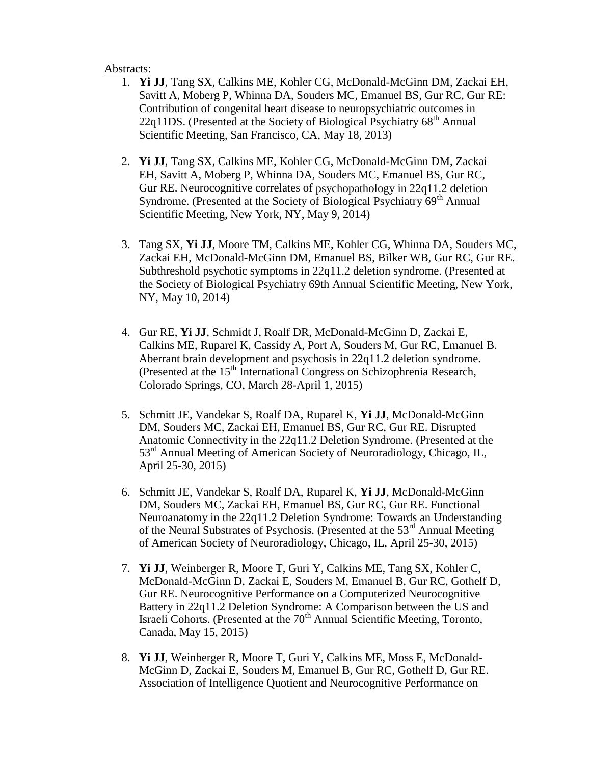## Abstracts:

- 1. **Yi JJ**, Tang SX, Calkins ME, Kohler CG, McDonald-McGinn DM, Zackai EH, Savitt A, Moberg P, Whinna DA, Souders MC, Emanuel BS, Gur RC, Gur RE: Contribution of congenital heart disease to neuropsychiatric outcomes in 22q11DS. (Presented at the Society of Biological Psychiatry  $68<sup>th</sup>$  Annual Scientific Meeting, San Francisco, CA, May 18, 2013)
- 2. **Yi JJ**, Tang SX, Calkins ME, Kohler CG, McDonald-McGinn DM, Zackai EH, Savitt A, Moberg P, Whinna DA, Souders MC, Emanuel BS, Gur RC, Gur RE. Neurocognitive correlates of psychopathology in 22q11.2 deletion Syndrome. (Presented at the Society of Biological Psychiatry 69<sup>th</sup> Annual Scientific Meeting, New York, NY, May 9, 2014)
- 3. Tang SX, **Yi JJ**, Moore TM, Calkins ME, Kohler CG, Whinna DA, Souders MC, Zackai EH, McDonald-McGinn DM, Emanuel BS, Bilker WB, Gur RC, Gur RE. Subthreshold psychotic symptoms in 22q11.2 deletion syndrome. (Presented at the Society of Biological Psychiatry 69th Annual Scientific Meeting, New York, NY, May 10, 2014)
- 4. Gur RE, **Yi JJ**, Schmidt J, Roalf DR, McDonald-McGinn D, Zackai E, Calkins ME, Ruparel K, Cassidy A, Port A, Souders M, Gur RC, Emanuel B. Aberrant brain development and psychosis in 22q11.2 deletion syndrome. (Presented at the 15<sup>th</sup> International Congress on Schizophrenia Research, Colorado Springs, CO, March 28-April 1, 2015)
- 5. Schmitt JE, Vandekar S, Roalf DA, Ruparel K, **Yi JJ**, McDonald-McGinn DM, Souders MC, Zackai EH, Emanuel BS, Gur RC, Gur RE. Disrupted Anatomic Connectivity in the 22q11.2 Deletion Syndrome. (Presented at the 53rd Annual Meeting of American Society of Neuroradiology, Chicago, IL, April 25-30, 2015)
- 6. Schmitt JE, Vandekar S, Roalf DA, Ruparel K, **Yi JJ**, McDonald-McGinn DM, Souders MC, Zackai EH, Emanuel BS, Gur RC, Gur RE. Functional Neuroanatomy in the 22q11.2 Deletion Syndrome: Towards an Understanding of the Neural Substrates of Psychosis. (Presented at the 53rd Annual Meeting of American Society of Neuroradiology, Chicago, IL, April 25-30, 2015)
- 7. **Yi JJ**, Weinberger R, Moore T, Guri Y, Calkins ME, Tang SX, Kohler C, McDonald-McGinn D, Zackai E, Souders M, Emanuel B, Gur RC, Gothelf D, Gur RE. Neurocognitive Performance on a Computerized Neurocognitive Battery in 22q11.2 Deletion Syndrome: A Comparison between the US and Israeli Cohorts. (Presented at the 70th Annual Scientific Meeting, Toronto, Canada, May 15, 2015)
- 8. **Yi JJ**, Weinberger R, Moore T, Guri Y, Calkins ME, Moss E, McDonald-McGinn D, Zackai E, Souders M, Emanuel B, Gur RC, Gothelf D, Gur RE. Association of Intelligence Quotient and Neurocognitive Performance on